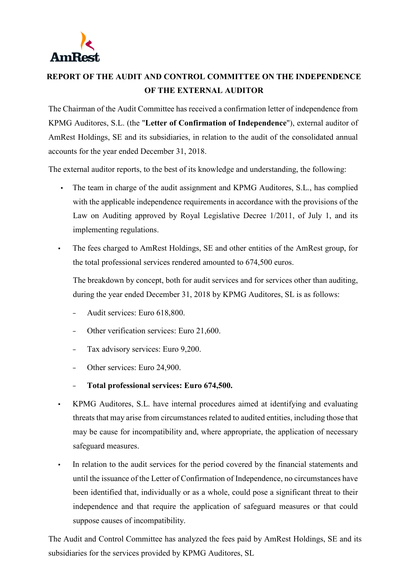

## **REPORT OF THE AUDIT AND CONTROL COMMITTEE ON THE INDEPENDENCE OF THE EXTERNAL AUDITOR**

The Chairman of the Audit Committee has received a confirmation letter of independence from KPMG Auditores, S.L. (the "**Letter of Confirmation of Independence**"), external auditor of AmRest Holdings, SE and its subsidiaries, in relation to the audit of the consolidated annual accounts for the year ended December 31, 2018.

The external auditor reports, to the best of its knowledge and understanding, the following:

- The team in charge of the audit assignment and KPMG Auditores, S.L., has complied with the applicable independence requirements in accordance with the provisions of the Law on Auditing approved by Royal Legislative Decree 1/2011, of July 1, and its implementing regulations.
- The fees charged to AmRest Holdings, SE and other entities of the AmRest group, for the total professional services rendered amounted to 674,500 euros.

The breakdown by concept, both for audit services and for services other than auditing, during the year ended December 31, 2018 by KPMG Auditores, SL is as follows:

- − Audit services: Euro 618,800.
- Other verification services: Euro 21,600.
- − Tax advisory services: Euro 9,200.
- Other services: Euro 24,900.
- − **Total professional services: Euro 674,500.**
- KPMG Auditores, S.L. have internal procedures aimed at identifying and evaluating threats that may arise from circumstances related to audited entities, including those that may be cause for incompatibility and, where appropriate, the application of necessary safeguard measures.
- In relation to the audit services for the period covered by the financial statements and until the issuance of the Letter of Confirmation of Independence, no circumstances have been identified that, individually or as a whole, could pose a significant threat to their independence and that require the application of safeguard measures or that could suppose causes of incompatibility.

The Audit and Control Committee has analyzed the fees paid by AmRest Holdings, SE and its subsidiaries for the services provided by KPMG Auditores, SL